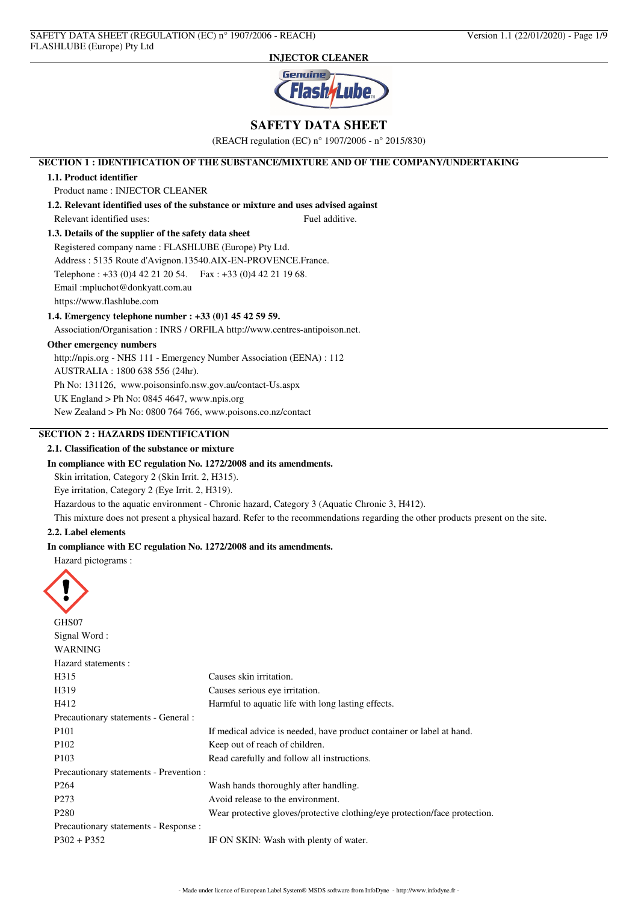

# **SAFETY DATA SHEET**

(REACH regulation (EC) n° 1907/2006 - n° 2015/830)

## **SECTION 1 : IDENTIFICATION OF THE SUBSTANCE/MIXTURE AND OF THE COMPANY/UNDERTAKING**

### **1.1. Product identifier**

Product name : INJECTOR CLEANER

**1.2. Relevant identified uses of the substance or mixture and uses advised against** Relevant identified uses: Fuel additive.

# **1.3. Details of the supplier of the safety data sheet**

Registered company name : FLASHLUBE (Europe) Pty Ltd. Address : 5135 Route d'Avignon.13540.AIX-EN-PROVENCE.France. Telephone : +33 (0)4 42 21 20 54. Fax : +33 (0)4 42 21 19 68. Email :mpluchot@donkyatt.com.au https://www.flashlube.com

### **1.4. Emergency telephone number : +33 (0)1 45 42 59 59.**

Association/Organisation : INRS / ORFILA http://www.centres-antipoison.net.

## **Other emergency numbers**

http://npis.org - NHS 111 - Emergency Number Association (EENA) : 112

AUSTRALIA : 1800 638 556 (24hr).

Ph No: 131126, www.poisonsinfo.nsw.gov.au/contact-Us.aspx

UK England > Ph No: 0845 4647, www.npis.org

New Zealand > Ph No: 0800 764 766, www.poisons.co.nz/contact

# **SECTION 2 : HAZARDS IDENTIFICATION**

## **2.1. Classification of the substance or mixture**

### **In compliance with EC regulation No. 1272/2008 and its amendments.**

Skin irritation, Category 2 (Skin Irrit. 2, H315).

Eye irritation, Category 2 (Eye Irrit. 2, H319).

Hazardous to the aquatic environment - Chronic hazard, Category 3 (Aquatic Chronic 3, H412).

This mixture does not present a physical hazard. Refer to the recommendations regarding the other products present on the site.

#### **2.2. Label elements**

### **In compliance with EC regulation No. 1272/2008 and its amendments.**

Hazard pictograms :



| $\boldsymbol{\mathcal{F}}$              |                                                                            |
|-----------------------------------------|----------------------------------------------------------------------------|
| GHS07                                   |                                                                            |
| Signal Word:                            |                                                                            |
| <b>WARNING</b>                          |                                                                            |
| Hazard statements :                     |                                                                            |
| H315                                    | Causes skin irritation.                                                    |
| H319                                    | Causes serious eye irritation.                                             |
| H412                                    | Harmful to aquatic life with long lasting effects.                         |
| Precautionary statements - General :    |                                                                            |
| P <sub>101</sub>                        | If medical advice is needed, have product container or label at hand.      |
| P <sub>102</sub>                        | Keep out of reach of children.                                             |
| P <sub>103</sub>                        | Read carefully and follow all instructions.                                |
| Precautionary statements - Prevention : |                                                                            |
| P <sub>264</sub>                        | Wash hands thoroughly after handling.                                      |
| P <sub>273</sub>                        | Avoid release to the environment.                                          |
| P <sub>280</sub>                        | Wear protective gloves/protective clothing/eye protection/face protection. |
| Precautionary statements - Response :   |                                                                            |
| $P302 + P352$                           | IF ON SKIN: Wash with plenty of water.                                     |
|                                         |                                                                            |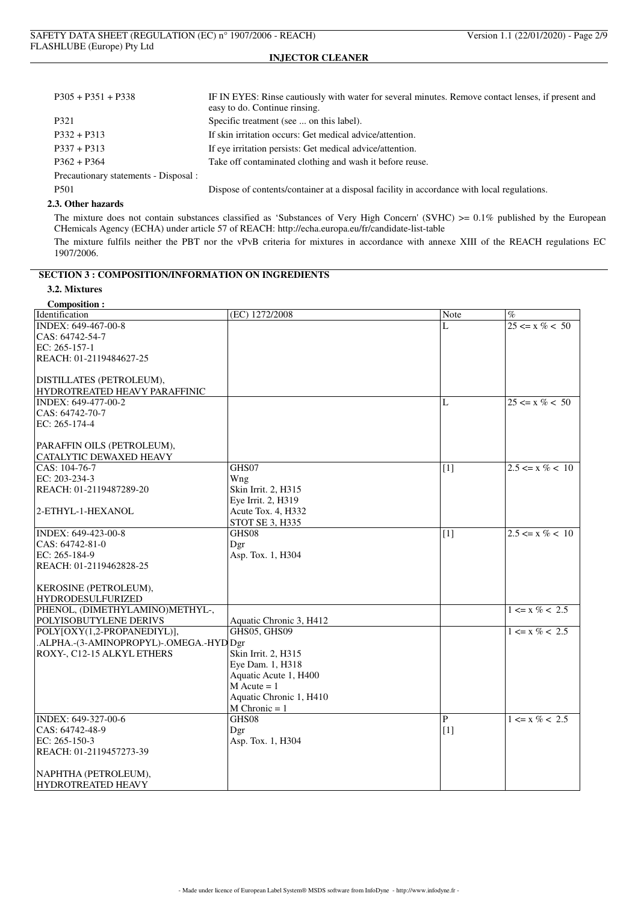| $P305 + P351 + P338$                  | IF IN EYES: Rinse cautiously with water for several minutes. Remove contact lenses, if present and<br>easy to do. Continue rinsing. |
|---------------------------------------|-------------------------------------------------------------------------------------------------------------------------------------|
| P321                                  | Specific treatment (see  on this label).                                                                                            |
| $P332 + P313$                         | If skin irritation occurs: Get medical advice/attention.                                                                            |
| $P337 + P313$                         | If eye irritation persists: Get medical advice/attention.                                                                           |
| $P362 + P364$                         | Take off contaminated clothing and wash it before reuse.                                                                            |
| Precautionary statements - Disposal : |                                                                                                                                     |
| P <sub>501</sub>                      | Dispose of contents/container at a disposal facility in accordance with local regulations.                                          |

### **2.3. Other hazards**

The mixture does not contain substances classified as 'Substances of Very High Concern' (SVHC) >= 0.1% published by the European CHemicals Agency (ECHA) under article 57 of REACH: http://echa.europa.eu/fr/candidate-list-table The mixture fulfils neither the PBT nor the vPvB criteria for mixtures in accordance with annexe XIII of the REACH regulations EC 1907/2006.

## **SECTION 3 : COMPOSITION/INFORMATION ON INGREDIENTS**

# **3.2. Mixtures**

| (EC) 1272/2008<br>$\%$<br>Note<br>$25 \le x \% < 50$<br>L<br>CAS: 64742-54-7<br>REACH: 01-2119484627-25<br>DISTILLATES (PETROLEUM),<br>HYDROTREATED HEAVY PARAFFINIC<br>L<br>$25 \le x \% < 50$<br>CAS: 64742-70-7<br>EC: 265-174-4<br>PARAFFIN OILS (PETROLEUM),<br><b>CATALYTIC DEWAXED HEAVY</b><br>GHS07<br>$2.5 \le x \% < 10$<br>CAS: 104-76-7<br>$\lceil 1 \rceil$<br>EC: 203-234-3<br>Wng<br>Skin Irrit. 2, H315<br>REACH: 01-2119487289-20<br>Eye Irrit. 2, H319<br>2-ETHYL-1-HEXANOL<br>Acute Tox. 4, H332<br>STOT SE 3, H335<br>$2.5 \le x \% < 10$<br>INDEX: 649-423-00-8<br>GHS08<br>$\overline{11}$<br>CAS: 64742-81-0<br>Dgr<br>EC: 265-184-9<br>Asp. Tox. 1, H304<br>REACH: 01-2119462828-25<br><b>KEROSINE (PETROLEUM),</b><br><b>HYDRODESULFURIZED</b><br>PHENOL, (DIMETHYLAMINO)METHYL-,<br>$1 \le x \% < 2.5$<br>POLYISOBUTYLENE DERIVS<br>Aquatic Chronic 3, H412<br>GHS05, GHS09<br>POLY[OXY(1,2-PROPANEDIYL)],<br>$1 \le x \% < 2.5$<br>.ALPHA.-(3-AMINOPROPYL)-.OMEGA.-HYD Dgr<br>ROXY-, C12-15 ALKYL ETHERS<br>Skin Irrit. 2, H315<br>Eye Dam. 1, H318<br>Aquatic Acute 1, H400<br>$M$ Acute = 1<br>Aquatic Chronic 1, H410<br>$M$ Chronic = 1<br>GHS08<br>P<br>$1 \le x \% < 2.5$<br>$[1]$<br>CAS: 64742-48-9<br>Dgr<br>EC: $265-150-3$<br>Asp. Tox. 1, H304<br>REACH: 01-2119457273-39 | <b>Composition:</b>       |  |  |
|-------------------------------------------------------------------------------------------------------------------------------------------------------------------------------------------------------------------------------------------------------------------------------------------------------------------------------------------------------------------------------------------------------------------------------------------------------------------------------------------------------------------------------------------------------------------------------------------------------------------------------------------------------------------------------------------------------------------------------------------------------------------------------------------------------------------------------------------------------------------------------------------------------------------------------------------------------------------------------------------------------------------------------------------------------------------------------------------------------------------------------------------------------------------------------------------------------------------------------------------------------------------------------------------------------------------|---------------------------|--|--|
|                                                                                                                                                                                                                                                                                                                                                                                                                                                                                                                                                                                                                                                                                                                                                                                                                                                                                                                                                                                                                                                                                                                                                                                                                                                                                                                   | Identification            |  |  |
|                                                                                                                                                                                                                                                                                                                                                                                                                                                                                                                                                                                                                                                                                                                                                                                                                                                                                                                                                                                                                                                                                                                                                                                                                                                                                                                   | INDEX: 649-467-00-8       |  |  |
|                                                                                                                                                                                                                                                                                                                                                                                                                                                                                                                                                                                                                                                                                                                                                                                                                                                                                                                                                                                                                                                                                                                                                                                                                                                                                                                   |                           |  |  |
|                                                                                                                                                                                                                                                                                                                                                                                                                                                                                                                                                                                                                                                                                                                                                                                                                                                                                                                                                                                                                                                                                                                                                                                                                                                                                                                   | EC: 265-157-1             |  |  |
|                                                                                                                                                                                                                                                                                                                                                                                                                                                                                                                                                                                                                                                                                                                                                                                                                                                                                                                                                                                                                                                                                                                                                                                                                                                                                                                   |                           |  |  |
|                                                                                                                                                                                                                                                                                                                                                                                                                                                                                                                                                                                                                                                                                                                                                                                                                                                                                                                                                                                                                                                                                                                                                                                                                                                                                                                   |                           |  |  |
|                                                                                                                                                                                                                                                                                                                                                                                                                                                                                                                                                                                                                                                                                                                                                                                                                                                                                                                                                                                                                                                                                                                                                                                                                                                                                                                   |                           |  |  |
|                                                                                                                                                                                                                                                                                                                                                                                                                                                                                                                                                                                                                                                                                                                                                                                                                                                                                                                                                                                                                                                                                                                                                                                                                                                                                                                   |                           |  |  |
|                                                                                                                                                                                                                                                                                                                                                                                                                                                                                                                                                                                                                                                                                                                                                                                                                                                                                                                                                                                                                                                                                                                                                                                                                                                                                                                   | INDEX: 649-477-00-2       |  |  |
|                                                                                                                                                                                                                                                                                                                                                                                                                                                                                                                                                                                                                                                                                                                                                                                                                                                                                                                                                                                                                                                                                                                                                                                                                                                                                                                   |                           |  |  |
|                                                                                                                                                                                                                                                                                                                                                                                                                                                                                                                                                                                                                                                                                                                                                                                                                                                                                                                                                                                                                                                                                                                                                                                                                                                                                                                   |                           |  |  |
|                                                                                                                                                                                                                                                                                                                                                                                                                                                                                                                                                                                                                                                                                                                                                                                                                                                                                                                                                                                                                                                                                                                                                                                                                                                                                                                   |                           |  |  |
|                                                                                                                                                                                                                                                                                                                                                                                                                                                                                                                                                                                                                                                                                                                                                                                                                                                                                                                                                                                                                                                                                                                                                                                                                                                                                                                   |                           |  |  |
|                                                                                                                                                                                                                                                                                                                                                                                                                                                                                                                                                                                                                                                                                                                                                                                                                                                                                                                                                                                                                                                                                                                                                                                                                                                                                                                   |                           |  |  |
|                                                                                                                                                                                                                                                                                                                                                                                                                                                                                                                                                                                                                                                                                                                                                                                                                                                                                                                                                                                                                                                                                                                                                                                                                                                                                                                   |                           |  |  |
|                                                                                                                                                                                                                                                                                                                                                                                                                                                                                                                                                                                                                                                                                                                                                                                                                                                                                                                                                                                                                                                                                                                                                                                                                                                                                                                   |                           |  |  |
|                                                                                                                                                                                                                                                                                                                                                                                                                                                                                                                                                                                                                                                                                                                                                                                                                                                                                                                                                                                                                                                                                                                                                                                                                                                                                                                   |                           |  |  |
|                                                                                                                                                                                                                                                                                                                                                                                                                                                                                                                                                                                                                                                                                                                                                                                                                                                                                                                                                                                                                                                                                                                                                                                                                                                                                                                   |                           |  |  |
|                                                                                                                                                                                                                                                                                                                                                                                                                                                                                                                                                                                                                                                                                                                                                                                                                                                                                                                                                                                                                                                                                                                                                                                                                                                                                                                   |                           |  |  |
|                                                                                                                                                                                                                                                                                                                                                                                                                                                                                                                                                                                                                                                                                                                                                                                                                                                                                                                                                                                                                                                                                                                                                                                                                                                                                                                   |                           |  |  |
|                                                                                                                                                                                                                                                                                                                                                                                                                                                                                                                                                                                                                                                                                                                                                                                                                                                                                                                                                                                                                                                                                                                                                                                                                                                                                                                   |                           |  |  |
|                                                                                                                                                                                                                                                                                                                                                                                                                                                                                                                                                                                                                                                                                                                                                                                                                                                                                                                                                                                                                                                                                                                                                                                                                                                                                                                   |                           |  |  |
|                                                                                                                                                                                                                                                                                                                                                                                                                                                                                                                                                                                                                                                                                                                                                                                                                                                                                                                                                                                                                                                                                                                                                                                                                                                                                                                   |                           |  |  |
|                                                                                                                                                                                                                                                                                                                                                                                                                                                                                                                                                                                                                                                                                                                                                                                                                                                                                                                                                                                                                                                                                                                                                                                                                                                                                                                   |                           |  |  |
|                                                                                                                                                                                                                                                                                                                                                                                                                                                                                                                                                                                                                                                                                                                                                                                                                                                                                                                                                                                                                                                                                                                                                                                                                                                                                                                   |                           |  |  |
|                                                                                                                                                                                                                                                                                                                                                                                                                                                                                                                                                                                                                                                                                                                                                                                                                                                                                                                                                                                                                                                                                                                                                                                                                                                                                                                   |                           |  |  |
|                                                                                                                                                                                                                                                                                                                                                                                                                                                                                                                                                                                                                                                                                                                                                                                                                                                                                                                                                                                                                                                                                                                                                                                                                                                                                                                   |                           |  |  |
|                                                                                                                                                                                                                                                                                                                                                                                                                                                                                                                                                                                                                                                                                                                                                                                                                                                                                                                                                                                                                                                                                                                                                                                                                                                                                                                   |                           |  |  |
|                                                                                                                                                                                                                                                                                                                                                                                                                                                                                                                                                                                                                                                                                                                                                                                                                                                                                                                                                                                                                                                                                                                                                                                                                                                                                                                   |                           |  |  |
|                                                                                                                                                                                                                                                                                                                                                                                                                                                                                                                                                                                                                                                                                                                                                                                                                                                                                                                                                                                                                                                                                                                                                                                                                                                                                                                   |                           |  |  |
|                                                                                                                                                                                                                                                                                                                                                                                                                                                                                                                                                                                                                                                                                                                                                                                                                                                                                                                                                                                                                                                                                                                                                                                                                                                                                                                   |                           |  |  |
|                                                                                                                                                                                                                                                                                                                                                                                                                                                                                                                                                                                                                                                                                                                                                                                                                                                                                                                                                                                                                                                                                                                                                                                                                                                                                                                   |                           |  |  |
|                                                                                                                                                                                                                                                                                                                                                                                                                                                                                                                                                                                                                                                                                                                                                                                                                                                                                                                                                                                                                                                                                                                                                                                                                                                                                                                   |                           |  |  |
|                                                                                                                                                                                                                                                                                                                                                                                                                                                                                                                                                                                                                                                                                                                                                                                                                                                                                                                                                                                                                                                                                                                                                                                                                                                                                                                   |                           |  |  |
|                                                                                                                                                                                                                                                                                                                                                                                                                                                                                                                                                                                                                                                                                                                                                                                                                                                                                                                                                                                                                                                                                                                                                                                                                                                                                                                   |                           |  |  |
|                                                                                                                                                                                                                                                                                                                                                                                                                                                                                                                                                                                                                                                                                                                                                                                                                                                                                                                                                                                                                                                                                                                                                                                                                                                                                                                   |                           |  |  |
|                                                                                                                                                                                                                                                                                                                                                                                                                                                                                                                                                                                                                                                                                                                                                                                                                                                                                                                                                                                                                                                                                                                                                                                                                                                                                                                   |                           |  |  |
|                                                                                                                                                                                                                                                                                                                                                                                                                                                                                                                                                                                                                                                                                                                                                                                                                                                                                                                                                                                                                                                                                                                                                                                                                                                                                                                   |                           |  |  |
|                                                                                                                                                                                                                                                                                                                                                                                                                                                                                                                                                                                                                                                                                                                                                                                                                                                                                                                                                                                                                                                                                                                                                                                                                                                                                                                   | INDEX: 649-327-00-6       |  |  |
|                                                                                                                                                                                                                                                                                                                                                                                                                                                                                                                                                                                                                                                                                                                                                                                                                                                                                                                                                                                                                                                                                                                                                                                                                                                                                                                   |                           |  |  |
|                                                                                                                                                                                                                                                                                                                                                                                                                                                                                                                                                                                                                                                                                                                                                                                                                                                                                                                                                                                                                                                                                                                                                                                                                                                                                                                   |                           |  |  |
|                                                                                                                                                                                                                                                                                                                                                                                                                                                                                                                                                                                                                                                                                                                                                                                                                                                                                                                                                                                                                                                                                                                                                                                                                                                                                                                   |                           |  |  |
|                                                                                                                                                                                                                                                                                                                                                                                                                                                                                                                                                                                                                                                                                                                                                                                                                                                                                                                                                                                                                                                                                                                                                                                                                                                                                                                   |                           |  |  |
|                                                                                                                                                                                                                                                                                                                                                                                                                                                                                                                                                                                                                                                                                                                                                                                                                                                                                                                                                                                                                                                                                                                                                                                                                                                                                                                   | NAPHTHA (PETROLEUM),      |  |  |
|                                                                                                                                                                                                                                                                                                                                                                                                                                                                                                                                                                                                                                                                                                                                                                                                                                                                                                                                                                                                                                                                                                                                                                                                                                                                                                                   | <b>HYDROTREATED HEAVY</b> |  |  |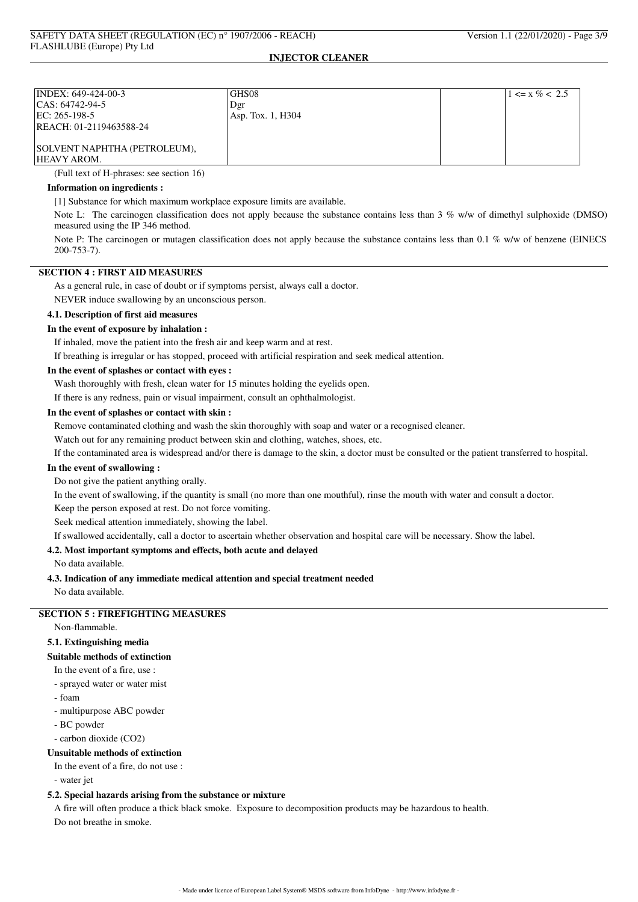| INDEX: 649-424-00-3          | <b>GHS08</b>      | $1 \le x \% < 2.5$ |
|------------------------------|-------------------|--------------------|
| $ CAS: 64742-94-5$           | Dgr               |                    |
| EC: 265-198-5                | Asp. Tox. 1, H304 |                    |
| REACH: 01-2119463588-24      |                   |                    |
|                              |                   |                    |
| SOLVENT NAPHTHA (PETROLEUM), |                   |                    |
| HEAVY AROM.                  |                   |                    |

(Full text of H-phrases: see section 16)

#### **Information on ingredients :**

[1] Substance for which maximum workplace exposure limits are available.

Note L: The carcinogen classification does not apply because the substance contains less than 3 % w/w of dimethyl sulphoxide (DMSO) measured using the IP 346 method.

Note P: The carcinogen or mutagen classification does not apply because the substance contains less than 0.1 % w/w of benzene (EINECS 200-753-7).

## **SECTION 4 : FIRST AID MEASURES**

As a general rule, in case of doubt or if symptoms persist, always call a doctor.

NEVER induce swallowing by an unconscious person.

## **4.1. Description of first aid measures**

### **In the event of exposure by inhalation :**

If inhaled, move the patient into the fresh air and keep warm and at rest.

If breathing is irregular or has stopped, proceed with artificial respiration and seek medical attention.

## **In the event of splashes or contact with eyes :**

Wash thoroughly with fresh, clean water for 15 minutes holding the eyelids open.

If there is any redness, pain or visual impairment, consult an ophthalmologist.

#### **In the event of splashes or contact with skin :**

Remove contaminated clothing and wash the skin thoroughly with soap and water or a recognised cleaner.

Watch out for any remaining product between skin and clothing, watches, shoes, etc.

If the contaminated area is widespread and/or there is damage to the skin, a doctor must be consulted or the patient transferred to hospital.

## **In the event of swallowing :**

Do not give the patient anything orally.

In the event of swallowing, if the quantity is small (no more than one mouthful), rinse the mouth with water and consult a doctor.

Keep the person exposed at rest. Do not force vomiting.

Seek medical attention immediately, showing the label.

If swallowed accidentally, call a doctor to ascertain whether observation and hospital care will be necessary. Show the label.

## **4.2. Most important symptoms and effects, both acute and delayed**

No data available.

### **4.3. Indication of any immediate medical attention and special treatment needed**

No data available.

## **SECTION 5 : FIREFIGHTING MEASURES**

Non-flammable.

## **5.1. Extinguishing media**

#### **Suitable methods of extinction**

- In the event of a fire, use :
- sprayed water or water mist
- foam
- multipurpose ABC powder
- BC powder
- carbon dioxide (CO2)

#### **Unsuitable methods of extinction**

In the event of a fire, do not use :

- water jet

#### **5.2. Special hazards arising from the substance or mixture**

A fire will often produce a thick black smoke. Exposure to decomposition products may be hazardous to health. Do not breathe in smoke.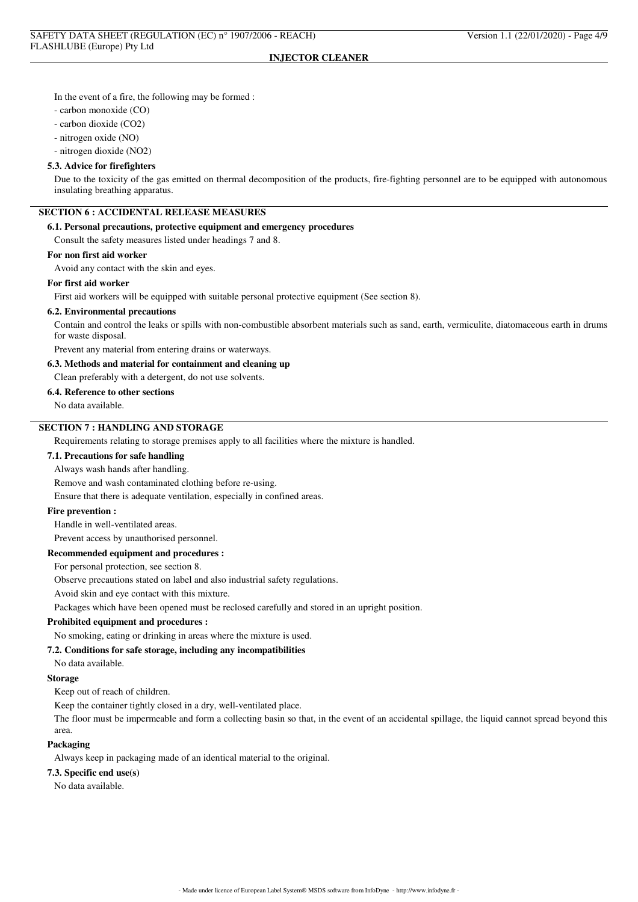In the event of a fire, the following may be formed :

- carbon monoxide (CO)

- carbon dioxide (CO2)

- nitrogen oxide (NO)

- nitrogen dioxide (NO2)

#### **5.3. Advice for firefighters**

Due to the toxicity of the gas emitted on thermal decomposition of the products, fire-fighting personnel are to be equipped with autonomous insulating breathing apparatus.

# **SECTION 6 : ACCIDENTAL RELEASE MEASURES**

## **6.1. Personal precautions, protective equipment and emergency procedures**

Consult the safety measures listed under headings 7 and 8.

### **For non first aid worker**

Avoid any contact with the skin and eyes.

#### **For first aid worker**

First aid workers will be equipped with suitable personal protective equipment (See section 8).

#### **6.2. Environmental precautions**

Contain and control the leaks or spills with non-combustible absorbent materials such as sand, earth, vermiculite, diatomaceous earth in drums for waste disposal.

Prevent any material from entering drains or waterways.

#### **6.3. Methods and material for containment and cleaning up**

Clean preferably with a detergent, do not use solvents.

#### **6.4. Reference to other sections**

No data available.

# **SECTION 7 : HANDLING AND STORAGE**

Requirements relating to storage premises apply to all facilities where the mixture is handled.

## **7.1. Precautions for safe handling**

Always wash hands after handling.

Remove and wash contaminated clothing before re-using.

Ensure that there is adequate ventilation, especially in confined areas.

### **Fire prevention :**

Handle in well-ventilated areas.

Prevent access by unauthorised personnel.

## **Recommended equipment and procedures :**

For personal protection, see section 8.

Observe precautions stated on label and also industrial safety regulations.

Avoid skin and eye contact with this mixture.

Packages which have been opened must be reclosed carefully and stored in an upright position.

#### **Prohibited equipment and procedures :**

No smoking, eating or drinking in areas where the mixture is used.

### **7.2. Conditions for safe storage, including any incompatibilities**

No data available.

#### **Storage**

Keep out of reach of children.

Keep the container tightly closed in a dry, well-ventilated place.

The floor must be impermeable and form a collecting basin so that, in the event of an accidental spillage, the liquid cannot spread beyond this area.

#### **Packaging**

Always keep in packaging made of an identical material to the original.

### **7.3. Specific end use(s)**

No data available.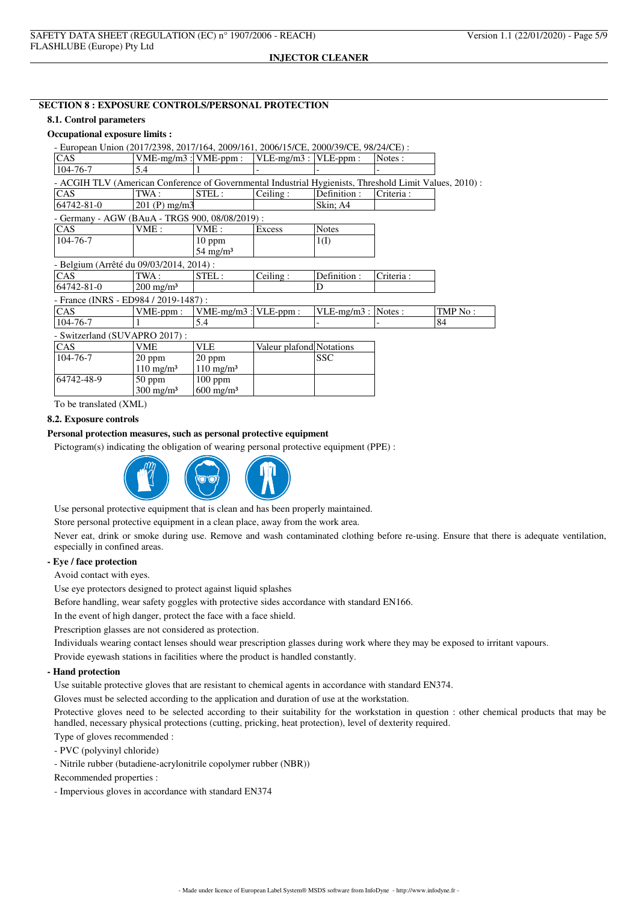### **SECTION 8 : EXPOSURE CONTROLS/PERSONAL PROTECTION**

#### **8.1. Control parameters**

### **Occupational exposure limits :**

| - European Union (2017/2398, 2017/164, 2009/161, 2006/15/CE, 2000/39/CE, 98/24/CE) :                   |                           |                           |                          |                       |           |         |
|--------------------------------------------------------------------------------------------------------|---------------------------|---------------------------|--------------------------|-----------------------|-----------|---------|
| CAS                                                                                                    | $VME-mg/m3$ : $VME-ppm$ : |                           | $VLE-mg/m3:$             | VLE-ppm:              | Notes:    |         |
| 104-76-7                                                                                               | 5.4                       |                           |                          |                       |           |         |
| - ACGIH TLV (American Conference of Governmental Industrial Hygienists, Threshold Limit Values, 2010): |                           |                           |                          |                       |           |         |
| CAS                                                                                                    | TWA:                      | STEL:                     | Ceiling:                 | Definition :          | Criteria: |         |
| 64742-81-0                                                                                             | $201$ (P) mg/m3           |                           |                          | Skin; A4              |           |         |
| - Germany - AGW (BAuA - TRGS 900, 08/08/2019) :                                                        |                           |                           |                          |                       |           |         |
| CAS                                                                                                    | VME:                      | VME:                      | Excess                   | <b>Notes</b>          |           |         |
| 104-76-7                                                                                               |                           | $10$ ppm                  |                          | 1(I)                  |           |         |
|                                                                                                        |                           | $54 \text{ mg/m}^3$       |                          |                       |           |         |
| - Belgium (Arrêté du 09/03/2014, 2014) :                                                               |                           |                           |                          |                       |           |         |
| CAS                                                                                                    | TWA :                     | STEL:                     | Ceiling:                 | Definition:           | Criteria: |         |
| 64742-81-0                                                                                             | $200 \text{ mg/m}^3$      |                           |                          | D                     |           |         |
| - France (INRS - ED984 / 2019-1487) :                                                                  |                           |                           |                          |                       |           |         |
| CAS                                                                                                    | $VME-ppm$ :               | $VME-mg/m3$ : $VLE-ppm$ : |                          | $VLE-mg/m3$ : Notes : |           | TMP No: |
| 104-76-7                                                                                               |                           | 5.4                       |                          |                       |           | 84      |
| - Switzerland (SUVAPRO 2017):                                                                          |                           |                           |                          |                       |           |         |
| CAS                                                                                                    | <b>VME</b>                | <b>VLE</b>                | Valeur plafond Notations |                       |           |         |
| 104-76-7                                                                                               | $20$ ppm                  | $20$ ppm                  |                          | <b>SSC</b>            |           |         |
|                                                                                                        | $110 \text{ mg/m}^3$      | $110 \text{ mg/m}^3$      |                          |                       |           |         |
| 64742-48-9                                                                                             | $50$ ppm                  | $100$ ppm                 |                          |                       |           |         |
|                                                                                                        | $300 \text{ mg/m}^3$      | $600 \text{ mg/m}^3$      |                          |                       |           |         |

To be translated (XML)

### **8.2. Exposure controls**

## **Personal protection measures, such as personal protective equipment**

Pictogram(s) indicating the obligation of wearing personal protective equipment (PPE) :



Use personal protective equipment that is clean and has been properly maintained.

Store personal protective equipment in a clean place, away from the work area.

Never eat, drink or smoke during use. Remove and wash contaminated clothing before re-using. Ensure that there is adequate ventilation, especially in confined areas.

### **- Eye / face protection**

Avoid contact with eyes.

Use eye protectors designed to protect against liquid splashes

Before handling, wear safety goggles with protective sides accordance with standard EN166.

In the event of high danger, protect the face with a face shield.

Prescription glasses are not considered as protection.

Individuals wearing contact lenses should wear prescription glasses during work where they may be exposed to irritant vapours.

Provide eyewash stations in facilities where the product is handled constantly.

### **- Hand protection**

Use suitable protective gloves that are resistant to chemical agents in accordance with standard EN374.

Gloves must be selected according to the application and duration of use at the workstation.

Protective gloves need to be selected according to their suitability for the workstation in question : other chemical products that may be handled, necessary physical protections (cutting, pricking, heat protection), level of dexterity required.

Type of gloves recommended :

- PVC (polyvinyl chloride)

- Nitrile rubber (butadiene-acrylonitrile copolymer rubber (NBR))

Recommended properties :

- Impervious gloves in accordance with standard EN374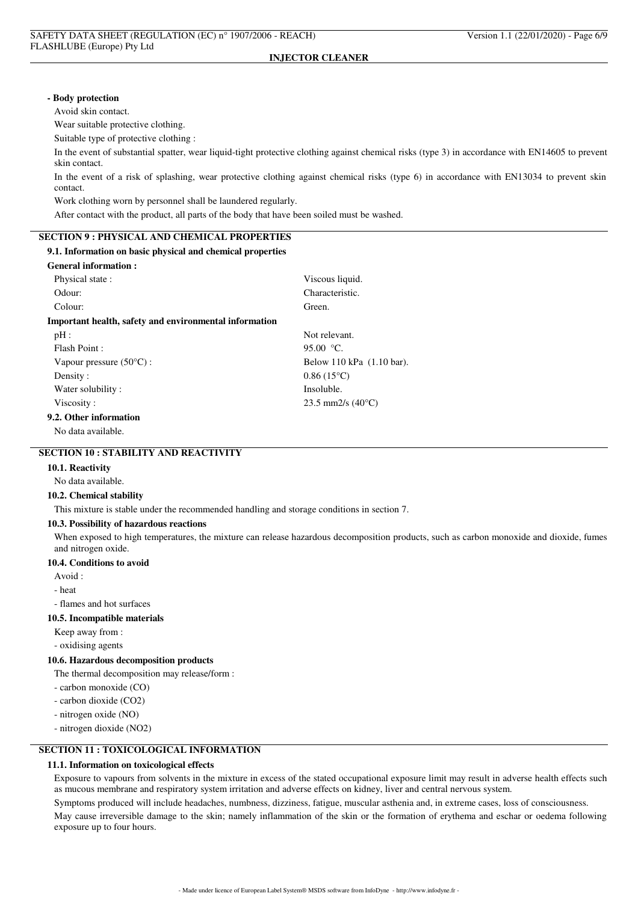#### **- Body protection**

Avoid skin contact.

Wear suitable protective clothing.

Suitable type of protective clothing :

In the event of substantial spatter, wear liquid-tight protective clothing against chemical risks (type 3) in accordance with EN14605 to prevent skin contact.

In the event of a risk of splashing, wear protective clothing against chemical risks (type 6) in accordance with EN13034 to prevent skin contact.

Work clothing worn by personnel shall be laundered regularly.

After contact with the product, all parts of the body that have been soiled must be washed.

#### **SECTION 9 : PHYSICAL AND CHEMICAL PROPERTIES**

### **9.1. Information on basic physical and chemical properties**

### **General information :**

| Physical state:                                        | Viscous liquid.            |
|--------------------------------------------------------|----------------------------|
| Odour:                                                 | Characteristic.            |
| Colour:                                                | Green.                     |
| Important health, safety and environmental information |                            |
| $pH$ :                                                 | Not relevant.              |
| Flash Point:                                           | 95.00 $\degree$ C.         |
| Vapour pressure $(50^{\circ}C)$ :                      | Below 110 kPa (1.10 bar).  |
| Density:                                               | $0.86(15^{\circ}C)$        |
| Water solubility:                                      | Insoluble.                 |
| Viscosity:                                             | 23.5 mm2/s $(40^{\circ}C)$ |
| 9.2. Other information                                 |                            |
| No data available.                                     |                            |
|                                                        |                            |

# **SECTION 10 : STABILITY AND REACTIVITY**

## **10.1. Reactivity**

No data available.

#### **10.2. Chemical stability**

This mixture is stable under the recommended handling and storage conditions in section 7.

#### **10.3. Possibility of hazardous reactions**

When exposed to high temperatures, the mixture can release hazardous decomposition products, such as carbon monoxide and dioxide, fumes and nitrogen oxide.

#### **10.4. Conditions to avoid**

Avoid :

- heat

- flames and hot surfaces

#### **10.5. Incompatible materials**

Keep away from :

- oxidising agents

#### **10.6. Hazardous decomposition products**

The thermal decomposition may release/form :

- carbon monoxide (CO)
- carbon dioxide (CO2)
- nitrogen oxide (NO)

- nitrogen dioxide (NO2)

## **SECTION 11 : TOXICOLOGICAL INFORMATION**

#### **11.1. Information on toxicological effects**

Exposure to vapours from solvents in the mixture in excess of the stated occupational exposure limit may result in adverse health effects such as mucous membrane and respiratory system irritation and adverse effects on kidney, liver and central nervous system.

Symptoms produced will include headaches, numbness, dizziness, fatigue, muscular asthenia and, in extreme cases, loss of consciousness.

May cause irreversible damage to the skin; namely inflammation of the skin or the formation of erythema and eschar or oedema following exposure up to four hours.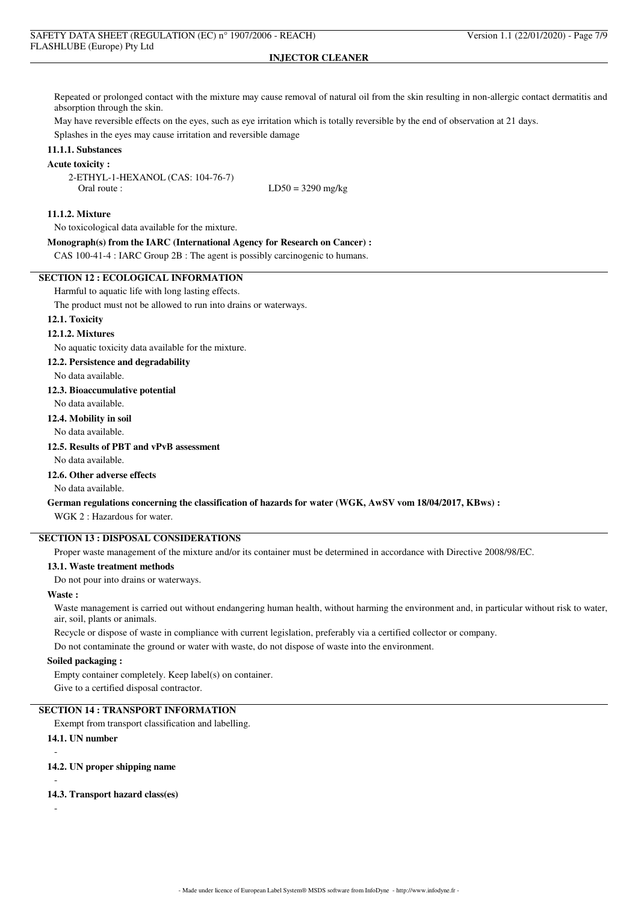Repeated or prolonged contact with the mixture may cause removal of natural oil from the skin resulting in non-allergic contact dermatitis and absorption through the skin.

May have reversible effects on the eyes, such as eye irritation which is totally reversible by the end of observation at 21 days.

Splashes in the eyes may cause irritation and reversible damage

# **11.1.1. Substances**

**Acute toxicity :**

2-ETHYL-1-HEXANOL (CAS: 104-76-7) Oral route :  $LD50 = 3290$  mg/kg

### **11.1.2. Mixture**

No toxicological data available for the mixture.

**Monograph(s) from the IARC (International Agency for Research on Cancer) :**

CAS 100-41-4 : IARC Group 2B : The agent is possibly carcinogenic to humans.

## **SECTION 12 : ECOLOGICAL INFORMATION**

Harmful to aquatic life with long lasting effects.

The product must not be allowed to run into drains or waterways.

## **12.1. Toxicity**

#### **12.1.2. Mixtures**

No aquatic toxicity data available for the mixture.

#### **12.2. Persistence and degradability**

No data available.

#### **12.3. Bioaccumulative potential**

No data available.

### **12.4. Mobility in soil**

No data available.

## **12.5. Results of PBT and vPvB assessment**

No data available.

## **12.6. Other adverse effects**

No data available.

#### **German regulations concerning the classification of hazards for water (WGK, AwSV vom 18/04/2017, KBws) :**

WGK 2 : Hazardous for water.

# **SECTION 13 : DISPOSAL CONSIDERATIONS**

Proper waste management of the mixture and/or its container must be determined in accordance with Directive 2008/98/EC.

#### **13.1. Waste treatment methods**

Do not pour into drains or waterways.

### **Waste :**

Waste management is carried out without endangering human health, without harming the environment and, in particular without risk to water, air, soil, plants or animals.

Recycle or dispose of waste in compliance with current legislation, preferably via a certified collector or company.

Do not contaminate the ground or water with waste, do not dispose of waste into the environment.

## **Soiled packaging :**

Empty container completely. Keep label(s) on container.

Give to a certified disposal contractor.

## **SECTION 14 : TRANSPORT INFORMATION**

Exempt from transport classification and labelling.

### **14.1. UN number**

-

-

-

# **14.2. UN proper shipping name**

#### **14.3. Transport hazard class(es)**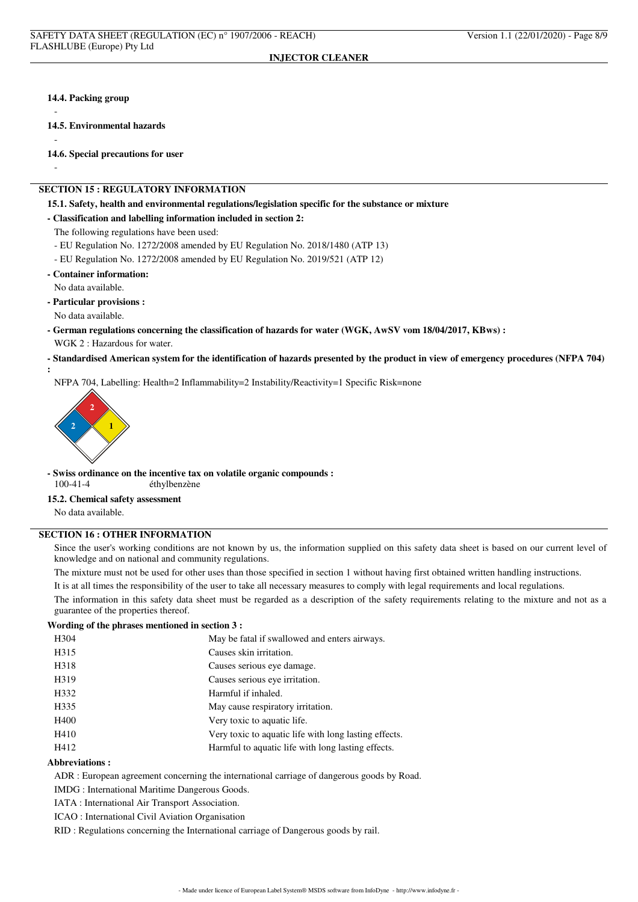#### **14.4. Packing group**

-

-

-

**:**

**14.5. Environmental hazards**

**14.6. Special precautions for user**

### **SECTION 15 : REGULATORY INFORMATION**

**15.1. Safety, health and environmental regulations/legislation specific for the substance or mixture**

**- Classification and labelling information included in section 2:**

The following regulations have been used:

- EU Regulation No. 1272/2008 amended by EU Regulation No. 2018/1480 (ATP 13)

- EU Regulation No. 1272/2008 amended by EU Regulation No. 2019/521 (ATP 12)
- **Container information:** No data available.

- **Particular provisions :**
- No data available.
- **German regulations concerning the classification of hazards for water (WGK, AwSV vom 18/04/2017, KBws) :**

WGK 2 : Hazardous for water.

**- Standardised American system for the identification of hazards presented by the product in view of emergency procedures (NFPA 704)**

NFPA 704, Labelling: Health=2 Inflammability=2 Instability/Reactivity=1 Specific Risk=none



**- Swiss ordinance on the incentive tax on volatile organic compounds :** éthylbenzène

## **15.2. Chemical safety assessment**

No data available.

# **SECTION 16 : OTHER INFORMATION**

Since the user's working conditions are not known by us, the information supplied on this safety data sheet is based on our current level of knowledge and on national and community regulations.

The mixture must not be used for other uses than those specified in section 1 without having first obtained written handling instructions.

It is at all times the responsibility of the user to take all necessary measures to comply with legal requirements and local regulations.

The information in this safety data sheet must be regarded as a description of the safety requirements relating to the mixture and not as a guarantee of the properties thereof.

## **Wording of the phrases mentioned in section 3 :**

| H <sub>304</sub> | May be fatal if swallowed and enters airways.         |
|------------------|-------------------------------------------------------|
| H315             | Causes skin irritation.                               |
| H318             | Causes serious eye damage.                            |
| H319             | Causes serious eye irritation.                        |
| H332             | Harmful if inhaled.                                   |
| H335             | May cause respiratory irritation.                     |
| H400             | Very toxic to aquatic life.                           |
| H410             | Very toxic to aquatic life with long lasting effects. |
| H412             | Harmful to aquatic life with long lasting effects.    |
|                  |                                                       |

### **Abbreviations :**

ADR : European agreement concerning the international carriage of dangerous goods by Road.

IMDG : International Maritime Dangerous Goods.

IATA : International Air Transport Association.

ICAO : International Civil Aviation Organisation

RID : Regulations concerning the International carriage of Dangerous goods by rail.